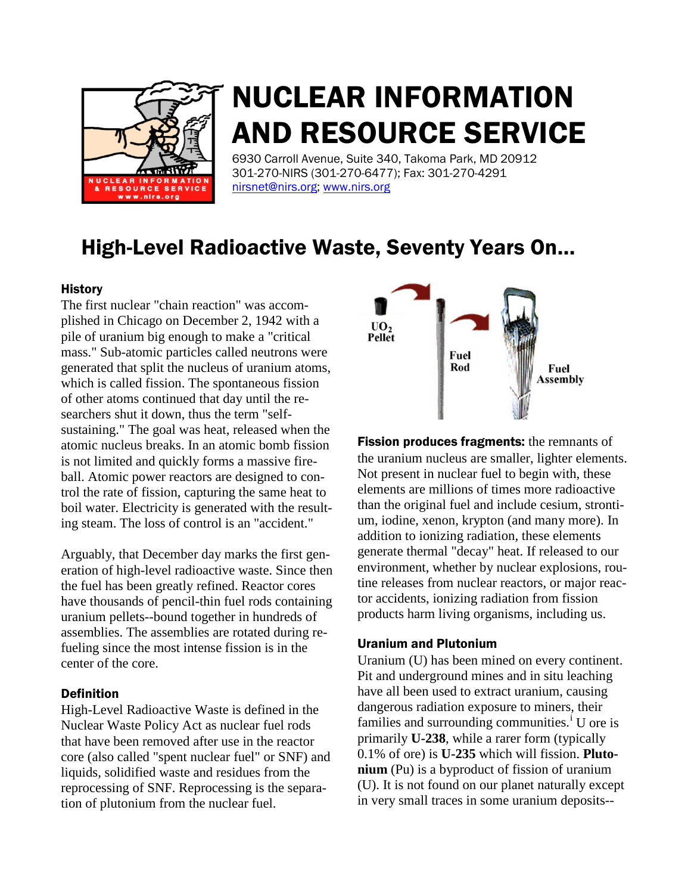

# NUCLEAR INFORMATION AND RESOURCE SERVICE

6930 Carroll Avenue, Suite 340, Takoma Park, MD 20912 301-270-NIRS (301-270-6477); Fax: 301-270-4291 [nirsnet@nirs.org;](mailto:nirsnet@nirs.org) [www.nirs.org](http://www.nirs.org/)

# High-Level Radioactive Waste, Seventy Years On…

## **History**

The first nuclear "chain reaction" was accomplished in Chicago on December 2, 1942 with a pile of uranium big enough to make a "critical mass." Sub-atomic particles called neutrons were generated that split the nucleus of uranium atoms, which is called fission. The spontaneous fission of other atoms continued that day until the researchers shut it down, thus the term "selfsustaining." The goal was heat, released when the atomic nucleus breaks. In an atomic bomb fission is not limited and quickly forms a massive fireball. Atomic power reactors are designed to control the rate of fission, capturing the same heat to boil water. Electricity is generated with the resulting steam. The loss of control is an "accident."

Arguably, that December day marks the first generation of high-level radioactive waste. Since then the fuel has been greatly refined. Reactor cores have thousands of pencil-thin fuel rods containing uranium pellets--bound together in hundreds of assemblies. The assemblies are rotated during refueling since the most intense fission is in the center of the core.

#### Definition

High-Level Radioactive Waste is defined in the Nuclear Waste Policy Act as nuclear fuel rods that have been removed after use in the reactor core (also called "spent nuclear fuel" or SNF) and liquids, solidified waste and residues from the reprocessing of SNF. Reprocessing is the separation of plutonium from the nuclear fuel.



**Fission produces fragments:** the remnants of the uranium nucleus are smaller, lighter elements. Not present in nuclear fuel to begin with, these elements are millions of times more radioactive than the original fuel and include cesium, strontium, iodine, xenon, krypton (and many more). In addition to ionizing radiation, these elements generate thermal "decay" heat. If released to our environment, whether by nuclear explosions, routine releases from nuclear reactors, or major reactor accidents, ionizing radiation from fission products harm living organisms, including us.

#### Uranium and Plutonium

Uranium (U) has been mined on every continent. Pit and underground mines and in situ leaching have all been used to extract uranium, causing dangerous radiation exposure to miners, their fam[i](#page-3-0)lies and surrounding communities.<sup>i</sup> U ore is primarily **U-238**, while a rarer form (typically 0.1% of ore) is **U-235** which will fission. **Plutonium** (Pu) is a byproduct of fission of uranium (U). It is not found on our planet naturally except in very small traces in some uranium deposits--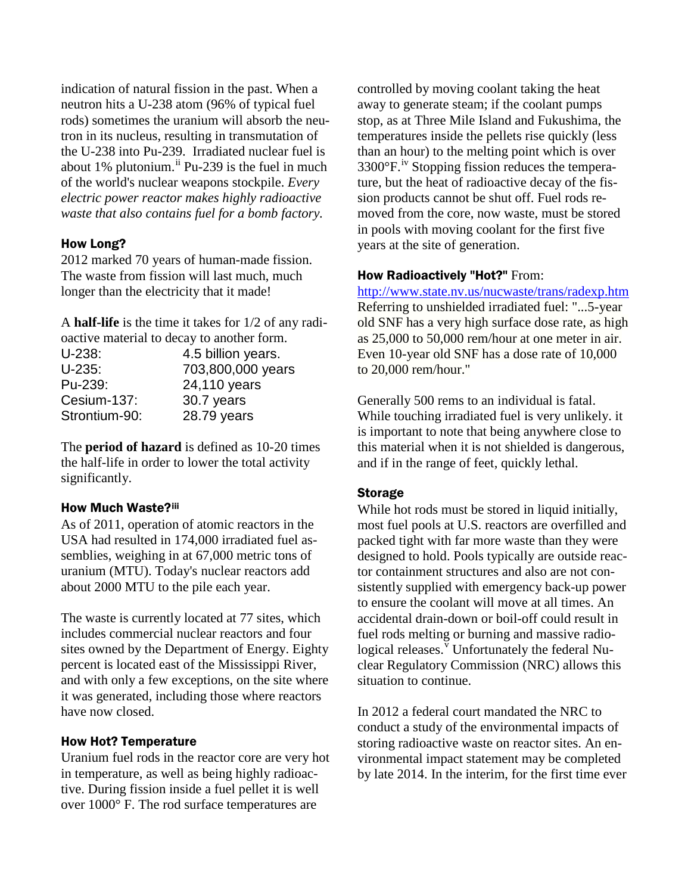indication of natural fission in the past. When a neutron hits a U-238 atom (96% of typical fuel rods) sometimes the uranium will absorb the neutron in its nucleus, resulting in transmutation of the U-238 into Pu-239. Irradiated nuclear fuel is about 1% plutonium.<sup>[ii](#page-3-1)</sup> Pu-239 is the fuel in much of the world's nuclear weapons stockpile. *Every electric power reactor makes highly radioactive waste that also contains fuel for a bomb factory.*

#### How Long?

2012 marked 70 years of human-made fission. The waste from fission will last much, much longer than the electricity that it made!

A **half-life** is the time it takes for 1/2 of any radioactive material to decay to another form.

| $U-238:$      | 4.5 billion years. |
|---------------|--------------------|
| $U-235:$      | 703,800,000 years  |
| Pu-239:       | 24,110 years       |
| Cesium-137:   | 30.7 years         |
| Strontium-90: | 28.79 years        |

The **period of hazard** is defined as 10-20 times the half-life in order to lower the total activity significantly.

#### How Much Waste?[iii](#page-3-2)

As of 2011, operation of atomic reactors in the USA had resulted in 174,000 irradiated fuel assemblies, weighing in at 67,000 metric tons of uranium (MTU). Today's nuclear reactors add about 2000 MTU to the pile each year.

The waste is currently located at 77 sites, which includes commercial nuclear reactors and four sites owned by the Department of Energy. Eighty percent is located east of the Mississippi River, and with only a few exceptions, on the site where it was generated, including those where reactors have now closed.

#### How Hot? Temperature

Uranium fuel rods in the reactor core are very hot in temperature, as well as being highly radioactive. During fission inside a fuel pellet it is well over 1000° F. The rod surface temperatures are

controlled by moving coolant taking the heat away to generate steam; if the coolant pumps stop, as at Three Mile Island and Fukushima, the temperatures inside the pellets rise quickly (less than an hour) to the melting point which is over  $3300^{\circ}$ F.<sup>[iv](#page-3-3)</sup> Stopping fission reduces the temperature, but the heat of radioactive decay of the fission products cannot be shut off. Fuel rods removed from the core, now waste, must be stored in pools with moving coolant for the first five years at the site of generation.

#### How Radioactively "Hot?" From:

<http://www.state.nv.us/nucwaste/trans/radexp.htm> Referring to unshielded irradiated fuel: "...5-year old SNF has a very high surface dose rate, as high as 25,000 to 50,000 rem/hour at one meter in air. Even 10-year old SNF has a dose rate of 10,000 to 20,000 rem/hour."

Generally 500 rems to an individual is fatal. While touching irradiated fuel is very unlikely. it is important to note that being anywhere close to this material when it is not shielded is dangerous, and if in the range of feet, quickly lethal.

#### Storage

While hot rods must be stored in liquid initially, most fuel pools at U.S. reactors are overfilled and packed tight with far more waste than they were designed to hold. Pools typically are outside reactor containment structures and also are not consistently supplied with emergency back-up power to ensure the coolant will move at all times. An accidental drain-down or boil-off could result in fuel rods melting or burning and massive radiological releases. $\overline{v}$  $\overline{v}$  $\overline{v}$  Unfortunately the federal Nuclear Regulatory Commission (NRC) allows this situation to continue.

In 2012 a federal court mandated the NRC to conduct a study of the environmental impacts of storing radioactive waste on reactor sites. An environmental impact statement may be completed by late 2014. In the interim, for the first time ever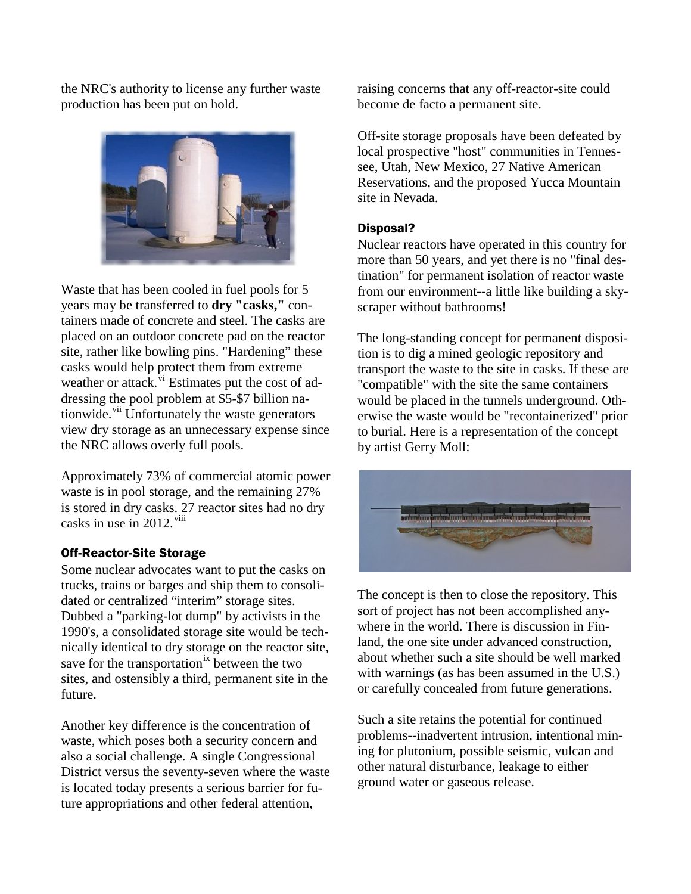the NRC's authority to license any further waste production has been put on hold.



Waste that has been cooled in fuel pools for 5 years may be transferred to **dry "casks,"** containers made of concrete and steel. The casks are placed on an outdoor concrete pad on the reactor site, rather like bowling pins. "Hardening" these casks would help protect them from extreme weather or attack.<sup>[vi](#page-3-5)</sup> Estimates put the cost of addressing the pool problem at \$5-\$7 billion nationwide.<sup>[vii](#page-3-6)</sup> Unfortunately the waste generators view dry storage as an unnecessary expense since the NRC allows overly full pools.

Approximately 73% of commercial atomic power waste is in pool storage, and the remaining 27% is stored in dry casks. 27 reactor sites had no dry casks in use in 2012.<sup>[viii](#page-3-7)</sup>

#### Off-Reactor-Site Storage

Some nuclear advocates want to put the casks on trucks, trains or barges and ship them to consolidated or centralized "interim" storage sites. Dubbed a "parking-lot dump" by activists in the 1990's, a consolidated storage site would be technically identical to dry storage on the reactor site, save for the transportation<sup>[ix](#page-3-8)</sup> between the two sites, and ostensibly a third, permanent site in the future.

Another key difference is the concentration of waste, which poses both a security concern and also a social challenge. A single Congressional District versus the seventy-seven where the waste is located today presents a serious barrier for future appropriations and other federal attention,

raising concerns that any off-reactor-site could become de facto a permanent site.

Off-site storage proposals have been defeated by local prospective "host" communities in Tennessee, Utah, New Mexico, 27 Native American Reservations, and the proposed Yucca Mountain site in Nevada.

## Disposal?

Nuclear reactors have operated in this country for more than 50 years, and yet there is no "final destination" for permanent isolation of reactor waste from our environment--a little like building a skyscraper without bathrooms!

The long-standing concept for permanent disposition is to dig a mined geologic repository and transport the waste to the site in casks. If these are "compatible" with the site the same containers would be placed in the tunnels underground. Otherwise the waste would be "recontainerized" prior to burial. Here is a representation of the concept by artist Gerry Moll:



The concept is then to close the repository. This sort of project has not been accomplished anywhere in the world. There is discussion in Finland, the one site under advanced construction, about whether such a site should be well marked with warnings (as has been assumed in the U.S.) or carefully concealed from future generations.

Such a site retains the potential for continued problems--inadvertent intrusion, intentional mining for plutonium, possible seismic, vulcan and other natural disturbance, leakage to either ground water or gaseous release.